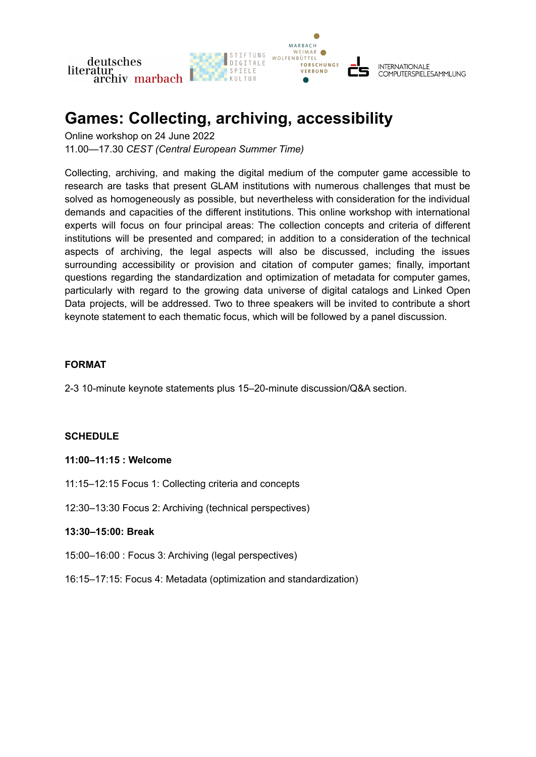

# **Games: Collecting, archiving, accessibility**

Online workshop on 24 June 2022 11.00—17.30 *CEST (Central European Summer Time)*

Collecting, archiving, and making the digital medium of the computer game accessible to research are tasks that present GLAM institutions with numerous challenges that must be solved as homogeneously as possible, but nevertheless with consideration for the individual demands and capacities of the different institutions. This online workshop with international experts will focus on four principal areas: The collection concepts and criteria of different institutions will be presented and compared; in addition to a consideration of the technical aspects of archiving, the legal aspects will also be discussed, including the issues surrounding accessibility or provision and citation of computer games; finally, important questions regarding the standardization and optimization of metadata for computer games, particularly with regard to the growing data universe of digital catalogs and Linked Open Data projects, will be addressed. Two to three speakers will be invited to contribute a short keynote statement to each thematic focus, which will be followed by a panel discussion.

#### **FORMAT**

2-3 10-minute keynote statements plus 15–20-minute discussion/Q&A section.

## **SCHEDULE**

#### **11:00–11:15 : Welcome**

- 11:15–12:15 Focus 1: Collecting criteria and concepts
- 12:30–13:30 Focus 2: Archiving (technical perspectives)

#### **13:30–15:00: Break**

- 15:00–16:00 : Focus 3: Archiving (legal perspectives)
- 16:15–17:15: Focus 4: Metadata (optimization and standardization)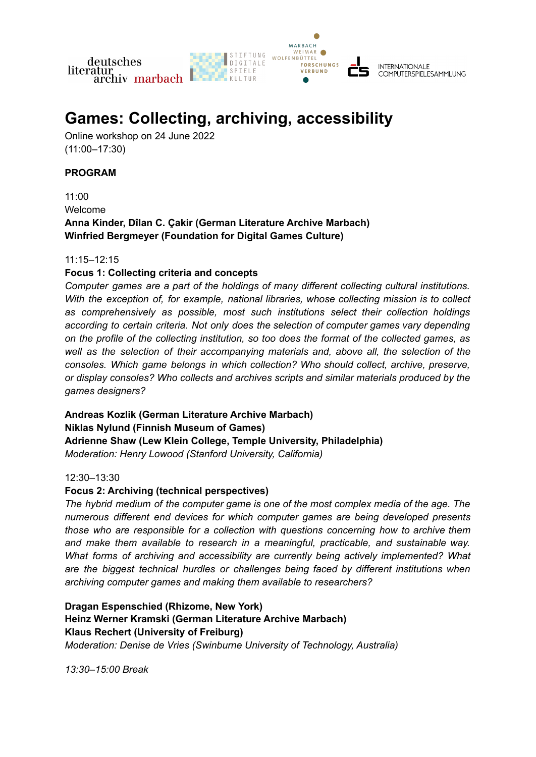

# **Games: Collecting, archiving, accessibility**

Online workshop on 24 June 2022 (11:00–17:30)

#### **PROGRAM**

11:00 Welcome **Anna Kinder, Dîlan C. Çakir (German Literature Archive Marbach) Winfried Bergmeyer (Foundation for Digital Games Culture)**

#### 11:15–12:15

## **Focus 1: Collecting criteria and concepts**

*Computer games are a part of the holdings of many different collecting cultural institutions. With the exception of, for example, national libraries, whose collecting mission is to collect as comprehensively as possible, most such institutions select their collection holdings according to certain criteria. Not only does the selection of computer games vary depending on the profile of the collecting institution, so too does the format of the collected games, as well as the selection of their accompanying materials and, above all, the selection of the consoles. Which game belongs in which collection? Who should collect, archive, preserve, or display consoles? Who collects and archives scripts and similar materials produced by the games designers?*

**Andreas Kozlik (German Literature Archive Marbach) Niklas Nylund (Finnish Museum of Games) Adrienne Shaw (Lew Klein College, Temple University, Philadelphia)** *Moderation: Henry Lowood (Stanford University, California)*

#### 12:30–13:30

## **Focus 2: Archiving (technical perspectives)**

*The hybrid medium of the computer game is one of the most complex media of the age. The numerous different end devices for which computer games are being developed presents those who are responsible for a collection with questions concerning how to archive them and make them available to research in a meaningful, practicable, and sustainable way. What forms of archiving and accessibility are currently being actively implemented? What are the biggest technical hurdles or challenges being faced by different institutions when archiving computer games and making them available to researchers?*

**Dragan Espenschied (Rhizome, New York) Heinz Werner Kramski (German Literature Archive Marbach) Klaus Rechert (University of Freiburg)** *Moderation: Denise de Vries (Swinburne University of Technology, Australia)*

*13:30–15:00 Break*